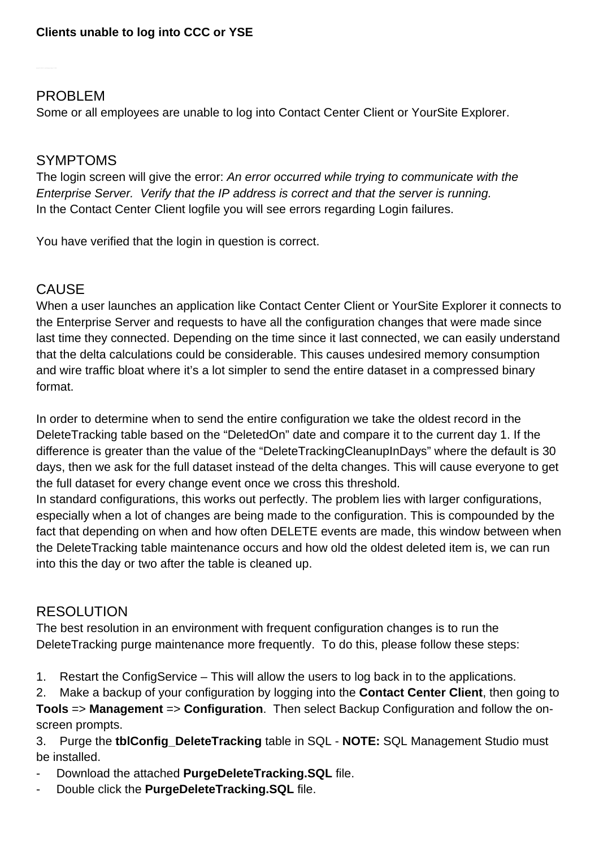### PROBLEM

Some or all employees are unable to log into Contact Center Client or YourSite Explorer.

### SYMPTOMS

The login screen will give the error: An error occurred while trying to communicate with the Enterprise Server. Verify that the IP address is correct and that the server is running. In the Contact Center Client logfile you will see errors regarding Login failures.

You have verified that the login in question is correct.

# CAUSE

When a user launches an application like Contact Center Client or YourSite Explorer it connects to the Enterprise Server and requests to have all the configuration changes that were made since last time they connected. Depending on the time since it last connected, we can easily understand that the delta calculations could be considerable. This causes undesired memory consumption and wire traffic bloat where it's a lot simpler to send the entire dataset in a compressed binary format.

In order to determine when to send the entire configuration we take the oldest record in the DeleteTracking table based on the "DeletedOn" date and compare it to the current day 1. If the difference is greater than the value of the "DeleteTrackingCleanupInDays" where the default is 30 days, then we ask for the full dataset instead of the delta changes. This will cause everyone to get the full dataset for every change event once we cross this threshold.

In standard configurations, this works out perfectly. The problem lies with larger configurations, especially when a lot of changes are being made to the configuration. This is compounded by the fact that depending on when and how often DELETE events are made, this window between when the DeleteTracking table maintenance occurs and how old the oldest deleted item is, we can run into this the day or two after the table is cleaned up.

### **RESOLUTION**

The best resolution in an environment with frequent configuration changes is to run the DeleteTracking purge maintenance more frequently. To do this, please follow these steps:

1. Restart the ConfigService – This will allow the users to log back in to the applications.

2. Make a backup of your configuration by logging into the **Contact Center Client**, then going to **Tools** => **Management** => **Configuration**. Then select Backup Configuration and follow the on-

screen prompts.

3. Purge the **tblConfig\_DeleteTracking** table in SQL - **NOTE:** SQL Management Studio must be installed.

- Download the attached **PurgeDeleteTracking.SQL** file.
- Double click the **PurgeDeleteTracking.SQL** file.